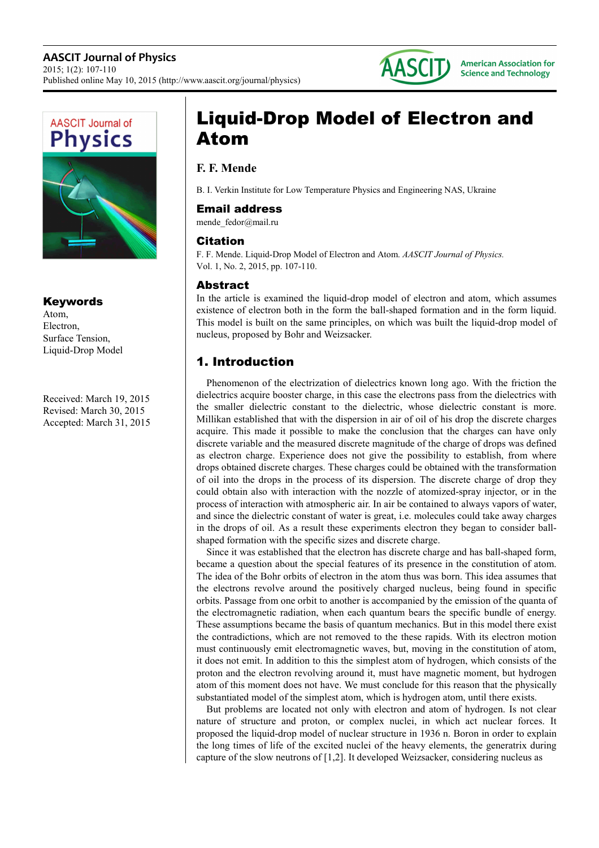



Keywords

Atom, Electron, Surface Tension, Liquid-Drop Model

Received: March 19, 2015 Revised: March 30, 2015 Accepted: March 31, 2015

# Liquid-Drop Model of Electron and Atom

### **F. F. Mende**

B. I. Verkin Institute for Low Temperature Physics and Engineering NAS, Ukraine

### Email address

mende fedor@mail.ru

### Citation

F. F. Mende. Liquid-Drop Model of Electron and Atom. *AASCIT Journal of Physics.* Vol. 1, No. 2, 2015, pp. 107-110.

### Abstract

In the article is examined the liquid-drop model of electron and atom, which assumes existence of electron both in the form the ball-shaped formation and in the form liquid. This model is built on the same principles, on which was built the liquid-drop model of nucleus, proposed by Bohr and Weizsacker.

# 1. Introduction

Phenomenon of the electrization of dielectrics known long ago. With the friction the dielectrics acquire booster charge, in this case the electrons pass from the dielectrics with the smaller dielectric constant to the dielectric, whose dielectric constant is more. Millikan established that with the dispersion in air of oil of his drop the discrete charges acquire. This made it possible to make the conclusion that the charges can have only discrete variable and the measured discrete magnitude of the charge of drops was defined as electron charge. Experience does not give the possibility to establish, from where drops obtained discrete charges. These charges could be obtained with the transformation of oil into the drops in the process of its dispersion. The discrete charge of drop they could obtain also with interaction with the nozzle of atomized-spray injector, or in the process of interaction with atmospheric air. In air be contained to always vapors of water, and since the dielectric constant of water is great, i.e. molecules could take away charges in the drops of oil. As a result these experiments electron they began to consider ballshaped formation with the specific sizes and discrete charge.

Since it was established that the electron has discrete charge and has ball-shaped form, became a question about the special features of its presence in the constitution of atom. The idea of the Bohr orbits of electron in the atom thus was born. This idea assumes that the electrons revolve around the positively charged nucleus, being found in specific orbits. Passage from one orbit to another is accompanied by the emission of the quanta of the electromagnetic radiation, when each quantum bears the specific bundle of energy. These assumptions became the basis of quantum mechanics. But in this model there exist the contradictions, which are not removed to the these rapids. With its electron motion must continuously emit electromagnetic waves, but, moving in the constitution of atom, it does not emit. In addition to this the simplest atom of hydrogen, which consists of the proton and the electron revolving around it, must have magnetic moment, but hydrogen atom of this moment does not have. We must conclude for this reason that the physically substantiated model of the simplest atom, which is hydrogen atom, until there exists.

But problems are located not only with electron and atom of hydrogen. Is not clear nature of structure and proton, or complex nuclei, in which act nuclear forces. It proposed the liquid-drop model of nuclear structure in 1936 n. Boron in order to explain the long times of life of the excited nuclei of the heavy elements, the generatrix during capture of the slow neutrons of  $[1,2]$ . It developed Weizsacker, considering nucleus as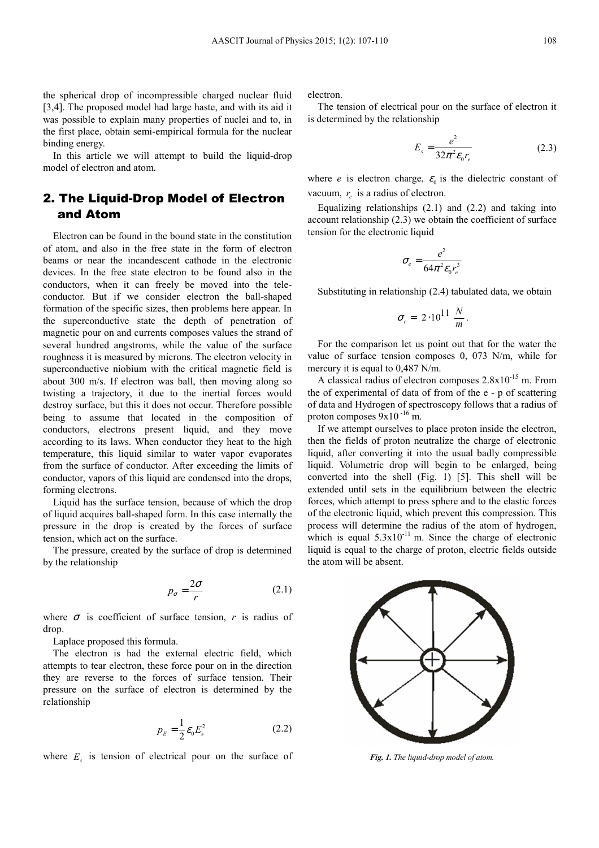the spherical drop of incompressible charged nuclear fluid [3,4]. The proposed model had large haste, and with its aid it was possible to explain many properties of nuclei and to, in the first place, obtain semi-empirical formula for the nuclear binding energy.

In this article we will attempt to build the liquid-drop model of electron and atom.

## 2. The Liquid-Drop Model of Electron and Atom

Electron can be found in the bound state in the constitution of atom, and also in the free state in the form of electron beams or near the incandescent cathode in the electronic devices. In the free state electron to be found also in the conductors, when it can freely be moved into the teleconductor. But if we consider electron the ball-shaped formation of the specific sizes, then problems here appear. In the superconductive state the depth of penetration of magnetic pour on and currents composes values the strand of several hundred angstroms, while the value of the surface roughness it is measured by microns. The electron velocity in superconductive niobium with the critical magnetic field is about 300 m/s. If electron was ball, then moving along so twisting a trajectory, it due to the inertial forces would destroy surface, but this it does not occur. Therefore possible being to assume that located in the composition of conductors, electrons present liquid, and they move according to its laws. When conductor they heat to the high temperature, this liquid similar to water vapor evaporates from the surface of conductor. After exceeding the limits of conductor, vapors of this liquid are condensed into the drops, forming electrons.

Liquid has the surface tension, because of which the drop of liquid acquires ball-shaped form. In this case internally the pressure in the drop is created by the forces of surface tension, which act on the surface.

The pressure, created by the surface of drop is determined by the relationship

$$
p_{\sigma} = \frac{2\sigma}{r} \tag{2.1}
$$

where  $\sigma$  is coefficient of surface tension, *r* is radius of drop.

Laplace proposed this formula.

The electron is had the external electric field, which attempts to tear electron, these force pour on in the direction they are reverse to the forces of surface tension. Their pressure on the surface of electron is determined by the relationship

$$
p_E = \frac{1}{2} \varepsilon_0 E_s^2 \tag{2.2}
$$

where  $E<sub>s</sub>$  is tension of electrical pour on the surface of

electron.

The tension of electrical pour on the surface of electron it is determined by the relationship

$$
E_s = \frac{e^2}{32\pi^2 \varepsilon_0 r_e} \tag{2.3}
$$

where  $e$  is electron charge,  $\varepsilon_0$  is the dielectric constant of vacuum,  $r_e$  is a radius of electron.

Equalizing relationships (2.1) and (2.2) and taking into account relationship (2.3) we obtain the coefficient of surface tension for the electronic liquid

$$
\sigma_e = \frac{e^2}{64\pi^2 \varepsilon_0 r_e^3}
$$

Substituting in relationship (2.4) tabulated data, we obtain

$$
\sigma_e = 2.10^{11} \frac{N}{m}.
$$

For the comparison let us point out that for the water the value of surface tension composes 0, 073 N/m, while for mercury it is equal to 0,487 N/m.

A classical radius of electron composes 2.8x10-15 m. From the of experimental of data of from of the e - p of scattering of data and Hydrogen of spectroscopy follows that a radius of proton composes  $9x10^{-16}$  m.

If we attempt ourselves to place proton inside the electron, then the fields of proton neutralize the charge of electronic liquid, after converting it into the usual badly compressible liquid. Volumetric drop will begin to be enlarged, being converted into the shell (Fig. 1) [5]. This shell will be extended until sets in the equilibrium between the electric forces, which attempt to press sphere and to the elastic forces of the electronic liquid, which prevent this compression. This process will determine the radius of the atom of hydrogen, which is equal  $5.3x10^{-11}$  m. Since the charge of electronic liquid is equal to the charge of proton, electric fields outside the atom will be absent.



*Fig. 1. The liquid-drop model of atom.*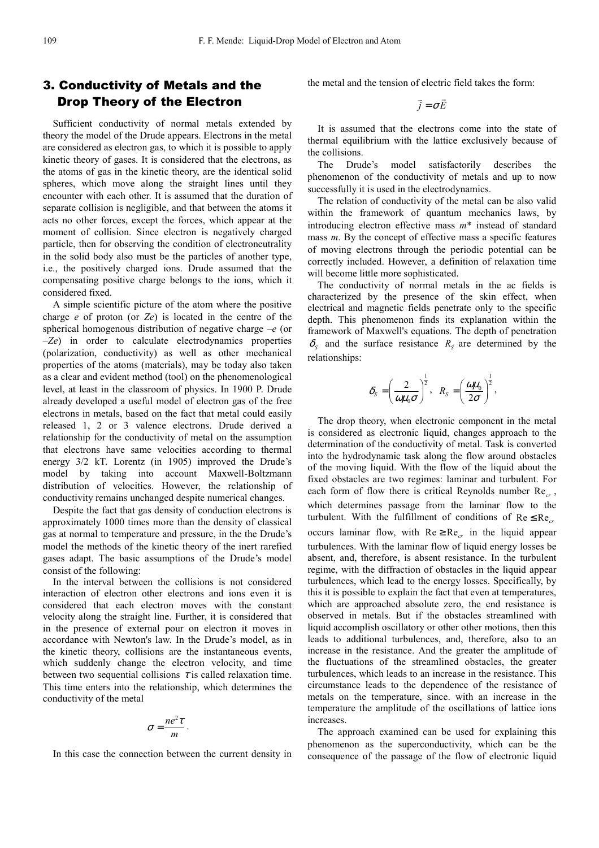### 3. Conductivity of Metals and the Drop Theory of the Electron

Sufficient conductivity of normal metals extended by theory the model of the Drude appears. Electrons in the metal are considered as electron gas, to which it is possible to apply kinetic theory of gases. It is considered that the electrons, as the atoms of gas in the kinetic theory, are the identical solid spheres, which move along the straight lines until they encounter with each other. It is assumed that the duration of separate collision is negligible, and that between the atoms it acts no other forces, except the forces, which appear at the moment of collision. Since electron is negatively charged particle, then for observing the condition of electroneutrality in the solid body also must be the particles of another type, i.e., the positively charged ions. Drude assumed that the compensating positive charge belongs to the ions, which it considered fixed.

A simple scientific picture of the atom where the positive charge *e* of proton (or *Ze*) is located in the centre of the spherical homogenous distribution of negative charge –*e* (or –*Ze*) in order to calculate electrodynamics properties (polarization, conductivity) as well as other mechanical properties of the atoms (materials), may be today also taken as a clear and evident method (tool) on the phenomenological level, at least in the classroom of physics. In 1900 P. Drude already developed a useful model of electron gas of the free electrons in metals, based on the fact that metal could easily released 1, 2 or 3 valence electrons. Drude derived a relationship for the conductivity of metal on the assumption that electrons have same velocities according to thermal energy 3/2 kT. Lorentz (in 1905) improved the Drude's model by taking into account Maxwell-Boltzmann distribution of velocities. However, the relationship of conductivity remains unchanged despite numerical changes.

Despite the fact that gas density of conduction electrons is approximately 1000 times more than the density of classical gas at normal to temperature and pressure, in the the Drude's model the methods of the kinetic theory of the inert rarefied gases adapt. The basic assumptions of the Drude's model consist of the following:

In the interval between the collisions is not considered interaction of electron other electrons and ions even it is considered that each electron moves with the constant velocity along the straight line. Further, it is considered that in the presence of external pour on electron it moves in accordance with Newton's law. In the Drude's model, as in the kinetic theory, collisions are the instantaneous events, which suddenly change the electron velocity, and time between two sequential collisions  $\tau$  is called relaxation time. This time enters into the relationship, which determines the conductivity of the metal

$$
\sigma=\frac{ne^2\tau}{m}.
$$

In this case the connection between the current density in

the metal and the tension of electric field takes the form:

$$
\vec{j} = \sigma \vec{E}
$$

It is assumed that the electrons come into the state of thermal equilibrium with the lattice exclusively because of the collisions.

The Drude's model satisfactorily describes the phenomenon of the conductivity of metals and up to now successfully it is used in the electrodynamics.

The relation of conductivity of the metal can be also valid within the framework of quantum mechanics laws, by introducing electron effective mass *m*\* instead of standard mass *m*. By the concept of effective mass a specific features of moving electrons through the periodic potential can be correctly included. However, a definition of relaxation time will become little more sophisticated.

The conductivity of normal metals in the ac fields is characterized by the presence of the skin effect, when electrical and magnetic fields penetrate only to the specific depth. This phenomenon finds its explanation within the framework of Maxwell's equations. The depth of penetration  $\delta_S$  and the surface resistance  $R_S$  are determined by the relationships:

$$
\delta_{S} = \left(\frac{2}{\omega\mu_{0}\sigma}\right)^{\frac{1}{2}}, R_{S} = \left(\frac{\omega\mu_{0}}{2\sigma}\right)^{\frac{1}{2}},
$$

The drop theory, when electronic component in the metal is considered as electronic liquid, changes approach to the determination of the conductivity of metal. Task is converted into the hydrodynamic task along the flow around obstacles of the moving liquid. With the flow of the liquid about the fixed obstacles are two regimes: laminar and turbulent. For each form of flow there is critical Reynolds number Re<sub>cr</sub>, which determines passage from the laminar flow to the turbulent. With the fulfillment of conditions of  $Re \leq Re_{cr}$ occurs laminar flow, with  $Re \geq Re_{cr}$  in the liquid appear turbulences. With the laminar flow of liquid energy losses be absent, and, therefore, is absent resistance. In the turbulent regime, with the diffraction of obstacles in the liquid appear turbulences, which lead to the energy losses. Specifically, by this it is possible to explain the fact that even at temperatures, which are approached absolute zero, the end resistance is observed in metals. But if the obstacles streamlined with liquid accomplish oscillatory or other other motions, then this leads to additional turbulences, and, therefore, also to an increase in the resistance. And the greater the amplitude of the fluctuations of the streamlined obstacles, the greater turbulences, which leads to an increase in the resistance. This circumstance leads to the dependence of the resistance of metals on the temperature, since. with an increase in the temperature the amplitude of the oscillations of lattice ions increases.

The approach examined can be used for explaining this phenomenon as the superconductivity, which can be the consequence of the passage of the flow of electronic liquid